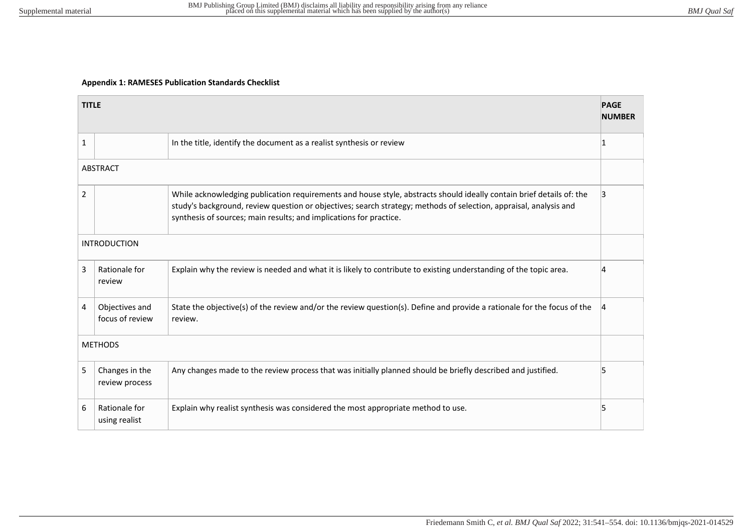## **Appendix 1: RAMESES Publication Standards Checklist**

|                     | <b>TITLE</b><br><b>PAGE</b><br><b>NUMBER</b> |                                                                                                                                                                                                                                                                                                                 |    |  |
|---------------------|----------------------------------------------|-----------------------------------------------------------------------------------------------------------------------------------------------------------------------------------------------------------------------------------------------------------------------------------------------------------------|----|--|
| $\mathbf{1}$        |                                              | In the title, identify the document as a realist synthesis or review                                                                                                                                                                                                                                            | 11 |  |
| <b>ABSTRACT</b>     |                                              |                                                                                                                                                                                                                                                                                                                 |    |  |
| $\overline{2}$      |                                              | While acknowledging publication requirements and house style, abstracts should ideally contain brief details of: the<br>study's background, review question or objectives; search strategy; methods of selection, appraisal, analysis and<br>synthesis of sources; main results; and implications for practice. | 13 |  |
| <b>INTRODUCTION</b> |                                              |                                                                                                                                                                                                                                                                                                                 |    |  |
| 3                   | Rationale for<br>review                      | Explain why the review is needed and what it is likely to contribute to existing understanding of the topic area.                                                                                                                                                                                               |    |  |
| 4                   | Objectives and<br>focus of review            | State the objective(s) of the review and/or the review question(s). Define and provide a rationale for the focus of the<br>review.                                                                                                                                                                              |    |  |
| <b>METHODS</b>      |                                              |                                                                                                                                                                                                                                                                                                                 |    |  |
| 5                   | Changes in the<br>review process             | Any changes made to the review process that was initially planned should be briefly described and justified.                                                                                                                                                                                                    | 15 |  |
| 6                   | Rationale for<br>using realist               | Explain why realist synthesis was considered the most appropriate method to use.                                                                                                                                                                                                                                | 15 |  |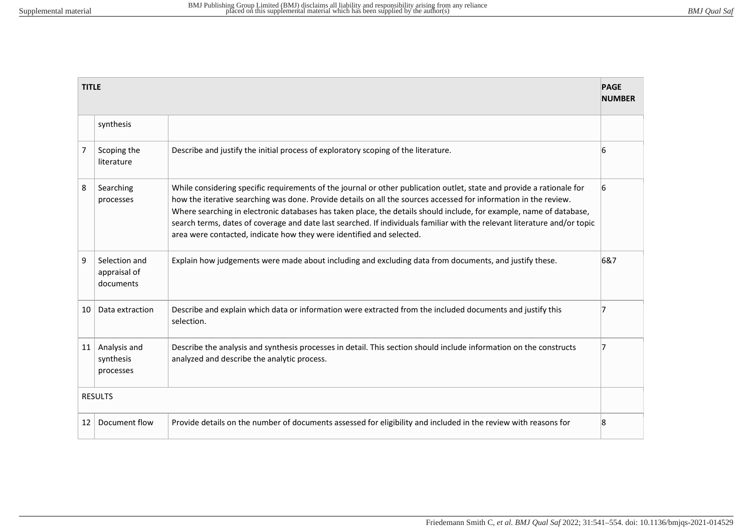|                | <b>TITLE</b><br><b>PAGE</b><br><b>NUMBER</b> |                                                                                                                                                                                                                                                                                                                                                                                                                                                                                                                                                                       |     |  |
|----------------|----------------------------------------------|-----------------------------------------------------------------------------------------------------------------------------------------------------------------------------------------------------------------------------------------------------------------------------------------------------------------------------------------------------------------------------------------------------------------------------------------------------------------------------------------------------------------------------------------------------------------------|-----|--|
|                | synthesis                                    |                                                                                                                                                                                                                                                                                                                                                                                                                                                                                                                                                                       |     |  |
| 7              | Scoping the<br>literature                    | Describe and justify the initial process of exploratory scoping of the literature.                                                                                                                                                                                                                                                                                                                                                                                                                                                                                    | 6   |  |
| 8              | Searching<br>processes                       | While considering specific requirements of the journal or other publication outlet, state and provide a rationale for<br>how the iterative searching was done. Provide details on all the sources accessed for information in the review.<br>Where searching in electronic databases has taken place, the details should include, for example, name of database,<br>search terms, dates of coverage and date last searched. If individuals familiar with the relevant literature and/or topic<br>area were contacted, indicate how they were identified and selected. | 16  |  |
| 9              | Selection and<br>appraisal of<br>documents   | Explain how judgements were made about including and excluding data from documents, and justify these.                                                                                                                                                                                                                                                                                                                                                                                                                                                                | 6&7 |  |
| 10             | Data extraction                              | Describe and explain which data or information were extracted from the included documents and justify this<br>selection.                                                                                                                                                                                                                                                                                                                                                                                                                                              | 17  |  |
| 11             | Analysis and<br>synthesis<br>processes       | Describe the analysis and synthesis processes in detail. This section should include information on the constructs<br>analyzed and describe the analytic process.                                                                                                                                                                                                                                                                                                                                                                                                     | 17  |  |
| <b>RESULTS</b> |                                              |                                                                                                                                                                                                                                                                                                                                                                                                                                                                                                                                                                       |     |  |
| 12             | Document flow                                | Provide details on the number of documents assessed for eligibility and included in the review with reasons for                                                                                                                                                                                                                                                                                                                                                                                                                                                       | 8   |  |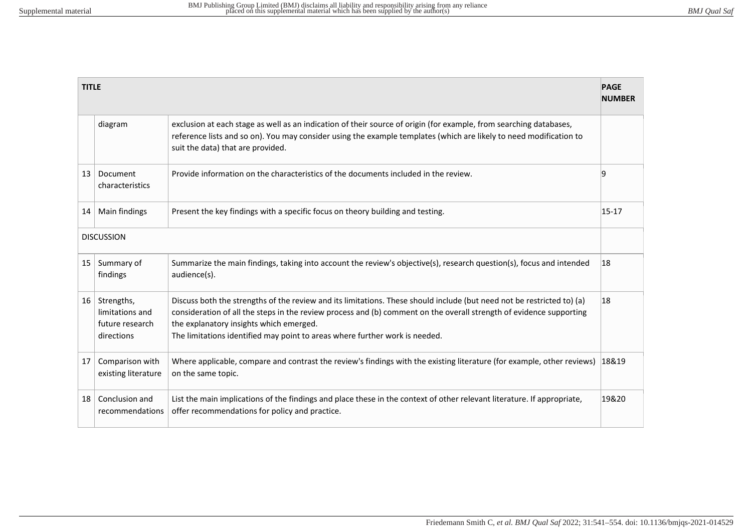| <b>PAGE</b><br><b>TITLE</b><br><b>NUMBER</b> |                                                                |                                                                                                                                                                                                                                                                                                                                                                         |           |  |
|----------------------------------------------|----------------------------------------------------------------|-------------------------------------------------------------------------------------------------------------------------------------------------------------------------------------------------------------------------------------------------------------------------------------------------------------------------------------------------------------------------|-----------|--|
|                                              | diagram                                                        | exclusion at each stage as well as an indication of their source of origin (for example, from searching databases,<br>reference lists and so on). You may consider using the example templates (which are likely to need modification to<br>suit the data) that are provided.                                                                                           |           |  |
| 13                                           | Document<br>characteristics                                    | Provide information on the characteristics of the documents included in the review.                                                                                                                                                                                                                                                                                     | 19        |  |
| 14                                           | Main findings                                                  | Present the key findings with a specific focus on theory building and testing.                                                                                                                                                                                                                                                                                          | $15 - 17$ |  |
| <b>DISCUSSION</b>                            |                                                                |                                                                                                                                                                                                                                                                                                                                                                         |           |  |
| 15                                           | Summary of<br>findings                                         | Summarize the main findings, taking into account the review's objective(s), research question(s), focus and intended<br>audience(s).                                                                                                                                                                                                                                    | 18        |  |
| $16 \mid$                                    | Strengths,<br>limitations and<br>future research<br>directions | Discuss both the strengths of the review and its limitations. These should include (but need not be restricted to) (a)<br>consideration of all the steps in the review process and (b) comment on the overall strength of evidence supporting<br>the explanatory insights which emerged.<br>The limitations identified may point to areas where further work is needed. | 18        |  |
| 17                                           | Comparison with<br>existing literature                         | Where applicable, compare and contrast the review's findings with the existing literature (for example, other reviews)<br>on the same topic.                                                                                                                                                                                                                            | 18&19     |  |
| 18                                           | Conclusion and<br>recommendations                              | List the main implications of the findings and place these in the context of other relevant literature. If appropriate,<br>offer recommendations for policy and practice.                                                                                                                                                                                               | 19&20     |  |